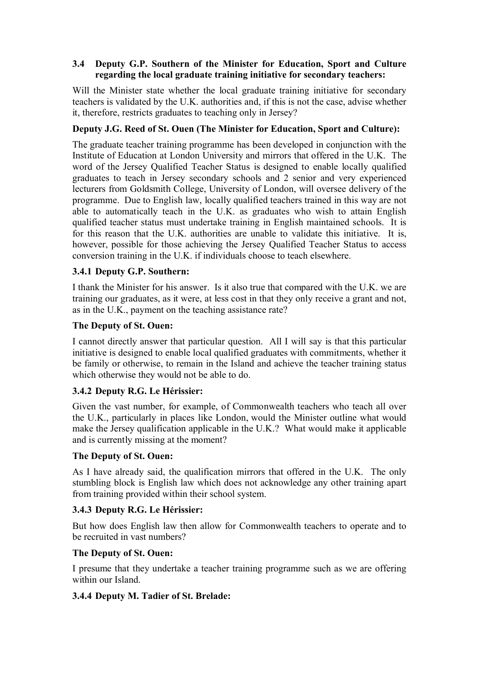### **3.4** � **Deputy G.P. Southern of the Minister for Education, Sport and Culture regarding the local graduate training initiative for secondary teachers:**

Will the Minister state whether the local graduate training initiative for secondary teachers is validated by the U.K. authorities and, if this is not the case, advise whether it, therefore, restricts graduates to teaching only in Jersey?

# **Deputy J.G. Reed of St. Ouen (The Minister for Education, Sport and Culture):**

The graduate teacher training programme has been developed in conjunction with the Institute of Education at London University and mirrors that offered in the U.K. The word of the Jersey Qualified Teacher Status is designed to enable locally qualified graduates to teach in Jersey secondary schools and 2 senior and very experienced lecturers from Goldsmith College, University of London, will oversee delivery of the programme. Due to English law, locally qualified teachers trained in this way are not able to automatically teach in the U.K. as graduates who wish to attain English qualified teacher status must undertake training in English maintained schools. It is for this reason that the U.K. authorities are unable to validate this initiative. It is, however, possible for those achieving the Jersey Qualified Teacher Status to access conversion training in the U.K. if individuals choose to teach elsewhere.

## **3.4.1 Deputy G.P. Southern:**

I thank the Minister for his answer. Is it also true that compared with the U.K. we are training our graduates, as it were, at less cost in that they only receive a grant and not, as in the U.K., payment on the teaching assistance rate?

## **The Deputy of St. Ouen:**

I cannot directly answer that particular question. All I will say is that this particular initiative is designed to enable local qualified graduates with commitments, whether it be family or otherwise, to remain in the Island and achieve the teacher training status which otherwise they would not be able to do.

## **3.4.2 Deputy R.G. Le Hérissier:**

Given the vast number, for example, of Commonwealth teachers who teach all over the U.K., particularly in places like London, would the Minister outline what would make the Jersey qualification applicable in the U.K.? What would make it applicable and is currently missing at the moment?

#### **The Deputy of St. Ouen:**

As I have already said, the qualification mirrors that offered in the U.K. The only stumbling block is English law which does not acknowledge any other training apart from training provided within their school system.

## **3.4.3 Deputy R.G. Le Hérissier:**

But how does English law then allow for Commonwealth teachers to operate and to be recruited in vast numbers?

#### **The Deputy of St. Ouen:**

I presume that they undertake a teacher training programme such as we are offering within our Island.

## **3.4.4 Deputy M. Tadier of St. Brelade:**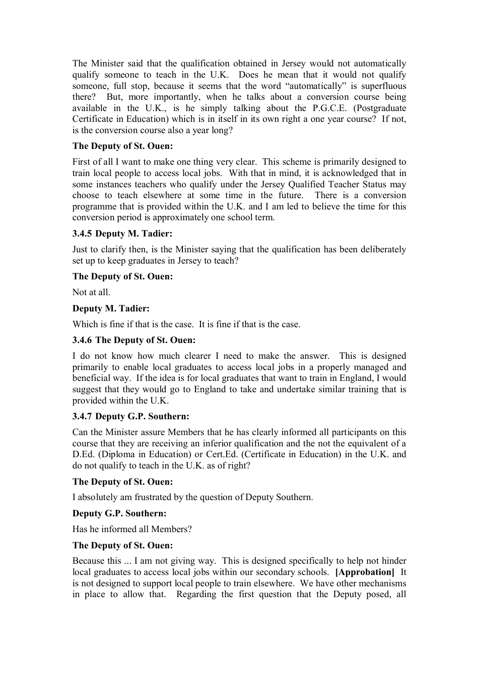The Minister said that the qualification obtained in Jersey would not automatically qualify someone to teach in the U.K. Does he mean that it would not qualify someone, full stop, because it seems that the word "automatically" is superfluous there? But, more importantly, when he talks about a conversion course being available in the U.K., is he simply talking about the P.G.C.E. (Postgraduate Certificate in Education) which is in itself in its own right a one year course? If not, is the conversion course also a year long?

## **The Deputy of St. Ouen:**

First of all I want to make one thing very clear. This scheme is primarily designed to train local people to access local jobs. With that in mind, it is acknowledged that in some instances teachers who qualify under the Jersey Qualified Teacher Status may choose to teach elsewhere at some time in the future. There is a conversion programme that is provided within the U.K. and I am led to believe the time for this conversion period is approximately one school term.

# **3.4.5 Deputy M. Tadier:**

Just to clarify then, is the Minister saying that the qualification has been deliberately set up to keep graduates in Jersey to teach?

## **The Deputy of St. Ouen:**

Not at all.

# **Deputy M. Tadier:**

Which is fine if that is the case. It is fine if that is the case.

## **3.4.6 The Deputy of St. Ouen:**

I do not know how much clearer I need to make the answer. This is designed primarily to enable local graduates to access local jobs in a properly managed and beneficial way. If the idea is for local graduates that want to train in England, I would suggest that they would go to England to take and undertake similar training that is provided within the U.K.

## **3.4.7 Deputy G.P. Southern:**

Can the Minister assure Members that he has clearly informed all participants on this course that they are receiving an inferior qualification and the not the equivalent of a D.Ed. (Diploma in Education) or Cert.Ed. (Certificate in Education) in the U.K. and do not qualify to teach in the U.K. as of right?

## **The Deputy of St. Ouen:**

I absolutely am frustrated by the question of Deputy Southern.

## **Deputy G.P. Southern:**

Has he informed all Members?

## **The Deputy of St. Ouen:**

 local graduates to access local jobs within our secondary schools. **[Approbation]** It Because this ... I am not giving way. This is designed specifically to help not hinder is not designed to support local people to train elsewhere. We have other mechanisms in place to allow that. Regarding the first question that the Deputy posed, all